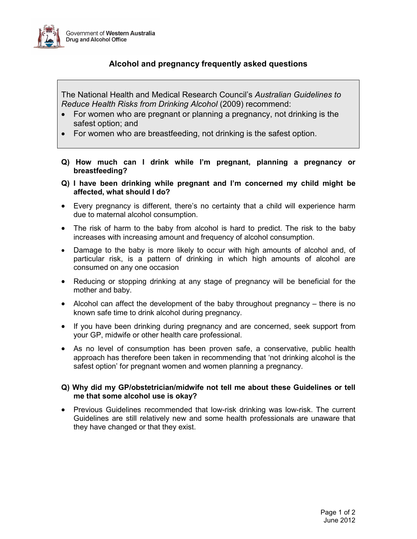

## Alcohol and pregnancy frequently asked questions

The National Health and Medical Research Council's Australian Guidelines to Reduce Health Risks from Drinking Alcohol (2009) recommend:

- For women who are pregnant or planning a pregnancy, not drinking is the safest option; and
- For women who are breastfeeding, not drinking is the safest option.
- Q) How much can I drink while I'm pregnant, planning a pregnancy or breastfeeding?
- Q) I have been drinking while pregnant and I'm concerned my child might be affected, what should I do?
- Every pregnancy is different, there's no certainty that a child will experience harm due to maternal alcohol consumption.
- The risk of harm to the baby from alcohol is hard to predict. The risk to the baby increases with increasing amount and frequency of alcohol consumption.
- Damage to the baby is more likely to occur with high amounts of alcohol and, of particular risk, is a pattern of drinking in which high amounts of alcohol are consumed on any one occasion
- Reducing or stopping drinking at any stage of pregnancy will be beneficial for the mother and baby.
- Alcohol can affect the development of the baby throughout pregnancy there is no known safe time to drink alcohol during pregnancy.
- If you have been drinking during pregnancy and are concerned, seek support from your GP, midwife or other health care professional.
- As no level of consumption has been proven safe, a conservative, public health approach has therefore been taken in recommending that 'not drinking alcohol is the safest option' for pregnant women and women planning a pregnancy.

## Q) Why did my GP/obstetrician/midwife not tell me about these Guidelines or tell me that some alcohol use is okay?

• Previous Guidelines recommended that low-risk drinking was low-risk. The current Guidelines are still relatively new and some health professionals are unaware that they have changed or that they exist.